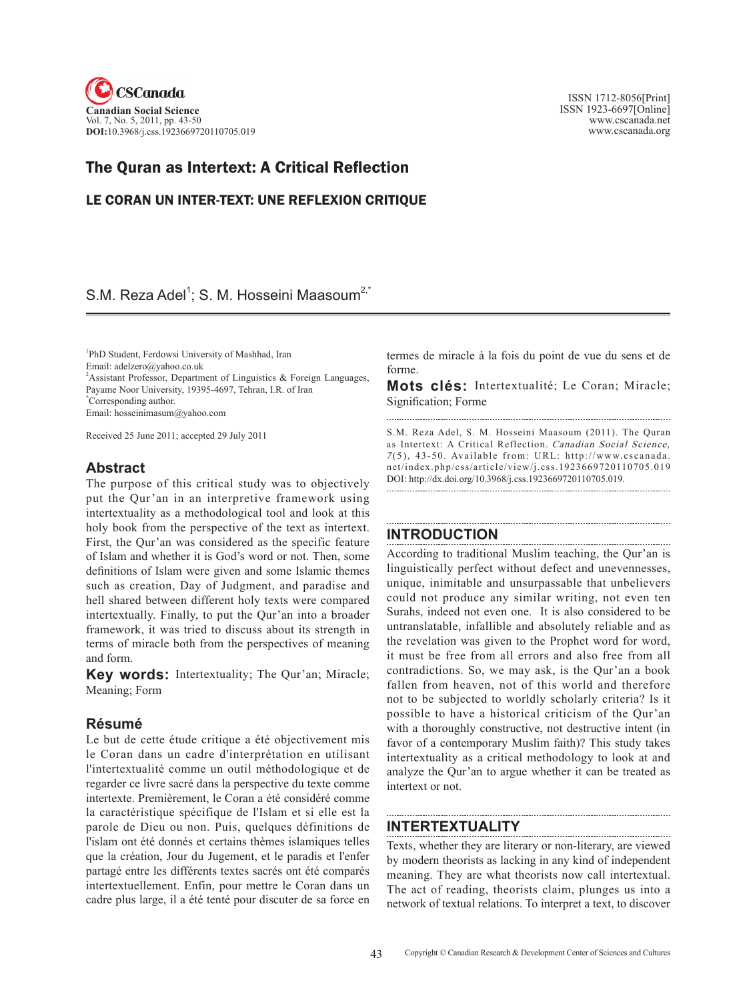

 ISSN 1712-8056[Print] ISSN 1923-6697[Online] www.cscanada.net www.cscanada.org

# The Quran as Intertext: A Critical Reflection

#### LE CORAN UN INTER-TEXT: UNE REFLEXION CRITIQUE

# S.M. Reza Adel<sup>1</sup>; S. M. Hosseini Maasoum<sup>2,\*</sup>

1 PhD Student, Ferdowsi University of Mashhad, Iran

Email: adelzero@yahoo.co.uk

<sup>2</sup> Assistant Professor, Department of Linguistics & Foreign Languages, Payame Noor University, 19395-4697, Tehran, I.R. of Iran

\* Corresponding author.

Email: hosseinimasum@yahoo.com

Received 25 June 2011; accepted 29 July 2011

### **Abstract**

The purpose of this critical study was to objectively put the Qur'an in an interpretive framework using intertextuality as a methodological tool and look at this holy book from the perspective of the text as intertext. First, the Qur'an was considered as the specific feature of Islam and whether it is God's word or not. Then, some definitions of Islam were given and some Islamic themes such as creation, Day of Judgment, and paradise and hell shared between different holy texts were compared intertextually. Finally, to put the Qur'an into a broader framework, it was tried to discuss about its strength in terms of miracle both from the perspectives of meaning and form.

**Key words:** Intertextuality; The Qur'an; Miracle; Meaning; Form

### **Résumé**

Le but de cette étude critique a été objectivement mis le Coran dans un cadre d'interprétation en utilisant l'intertextualité comme un outil méthodologique et de regarder ce livre sacré dans la perspective du texte comme intertexte. Premièrement, le Coran a été considéré comme la caractéristique spécifique de l'Islam et si elle est la parole de Dieu ou non. Puis, quelques définitions de l'islam ont été donnés et certains thèmes islamiques telles que la création, Jour du Jugement, et le paradis et l'enfer partagé entre les différents textes sacrés ont été comparés intertextuellement. Enfin, pour mettre le Coran dans un cadre plus large, il a été tenté pour discuter de sa force en termes de miracle à la fois du point de vue du sens et de forme.

**Mots clés:** Intertextualité; le Coran; Miracle; Signification; Forme

S.M. Reza Adel, S. M. Hosseini Maasoum (2011). The Quran as Intertext: A Critical Reflection. Canadian Social Science,  $7(5)$ , 43-50. Available from: URL: http://www.cscanada. net/index.php/css/article/view/j.css.1923669720110705.019 DOI: http://dx.doi.org/10.3968/j.css.1923669720110705.019.

# **INTRODUCTION**

According to traditional Muslim teaching, the Qur'an is linguistically perfect without defect and unevennesses, unique, inimitable and unsurpassable that unbelievers could not produce any similar writing, not even ten Surahs, indeed not even one. It is also considered to be untranslatable, infallible and absolutely reliable and as the revelation was given to the Prophet word for word, it must be free from all errors and also free from all contradictions. So, we may ask, is the Qur'an a book fallen from heaven, not of this world and therefore not to be subjected to worldly scholarly criteria? Is it possible to have a historical criticism of the Qur'an with a thoroughly constructive, not destructive intent (in favor of a contemporary Muslim faith)? This study takes intertextuality as a critical methodology to look at and analyze the Qur'an to argue whether it can be treated as intertext or not.

## **INTERTEXTUALITY**

Texts, whether they are literary or non-literary, are viewed by modern theorists as lacking in any kind of independent meaning. They are what theorists now call intertextual. The act of reading, theorists claim, plunges us into a network of textual relations. To interpret a text, to discover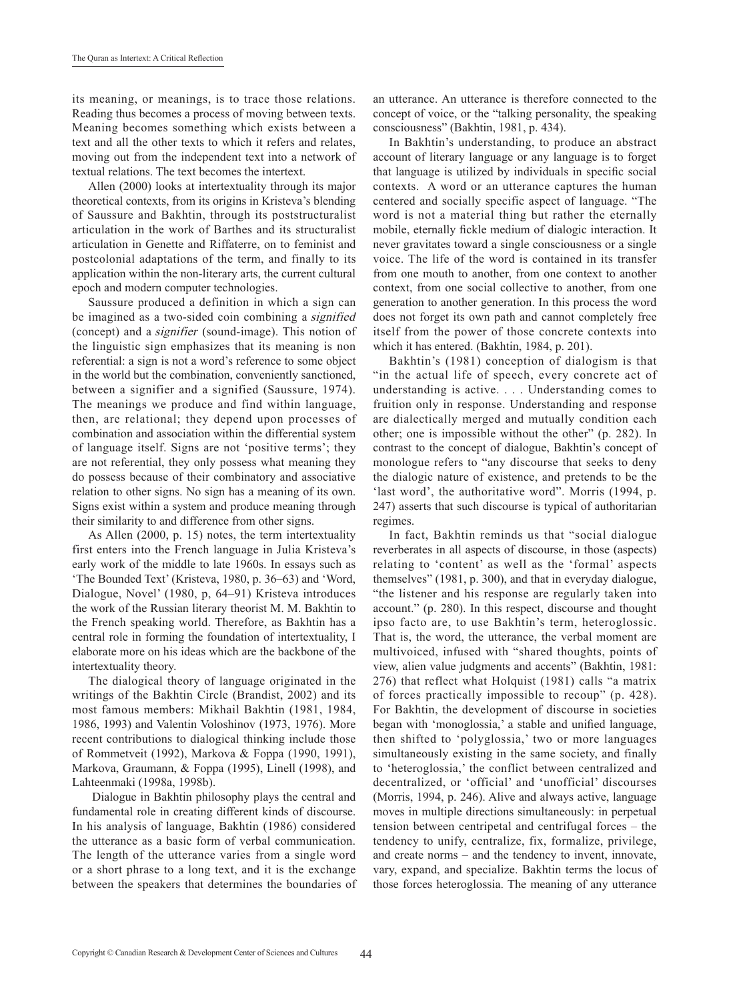its meaning, or meanings, is to trace those relations. Reading thus becomes a process of moving between texts. Meaning becomes something which exists between a text and all the other texts to which it refers and relates, moving out from the independent text into a network of textual relations. The text becomes the intertext.

Allen (2000) looks at intertextuality through its major theoretical contexts, from its origins in Kristeva's blending of Saussure and Bakhtin, through its poststructuralist articulation in the work of Barthes and its structuralist articulation in Genette and Riffaterre, on to feminist and postcolonial adaptations of the term, and finally to its application within the non-literary arts, the current cultural epoch and modern computer technologies.

Saussure produced a definition in which a sign can be imagined as a two-sided coin combining a signified (concept) and a signifier (sound-image). This notion of the linguistic sign emphasizes that its meaning is non referential: a sign is not a word's reference to some object in the world but the combination, conveniently sanctioned, between a signifier and a signified (Saussure, 1974). The meanings we produce and find within language, then, are relational; they depend upon processes of combination and association within the differential system of language itself. Signs are not 'positive terms'; they are not referential, they only possess what meaning they do possess because of their combinatory and associative relation to other signs. No sign has a meaning of its own. Signs exist within a system and produce meaning through their similarity to and difference from other signs.

As Allen (2000, p. 15) notes, the term intertextuality first enters into the French language in Julia Kristeva's early work of the middle to late 1960s. In essays such as 'The Bounded Text' (Kristeva, 1980, p. 36–63) and 'Word, Dialogue, Novel' (1980, p, 64–91) Kristeva introduces the work of the Russian literary theorist M. M. Bakhtin to the French speaking world. Therefore, as Bakhtin has a central role in forming the foundation of intertextuality, I elaborate more on his ideas which are the backbone of the intertextuality theory.

The dialogical theory of language originated in the writings of the Bakhtin Circle (Brandist, 2002) and its most famous members: Mikhail Bakhtin (1981, 1984, 1986, 1993) and Valentin Voloshinov (1973, 1976). More recent contributions to dialogical thinking include those of Rommetveit (1992), Markova & Foppa (1990, 1991), Markova, Graumann, & Foppa (1995), Linell (1998), and Lahteenmaki (1998a, 1998b).

 Dialogue in Bakhtin philosophy plays the central and fundamental role in creating different kinds of discourse. In his analysis of language, Bakhtin (1986) considered the utterance as a basic form of verbal communication. The length of the utterance varies from a single word or a short phrase to a long text, and it is the exchange between the speakers that determines the boundaries of an utterance. An utterance is therefore connected to the concept of voice, or the "talking personality, the speaking consciousness" (Bakhtin, 1981, p. 434).

In Bakhtin's understanding, to produce an abstract account of literary language or any language is to forget that language is utilized by individuals in specific social contexts. A word or an utterance captures the human centered and socially specific aspect of language. "The word is not a material thing but rather the eternally mobile, eternally fickle medium of dialogic interaction. It never gravitates toward a single consciousness or a single voice. The life of the word is contained in its transfer from one mouth to another, from one context to another context, from one social collective to another, from one generation to another generation. In this process the word does not forget its own path and cannot completely free itself from the power of those concrete contexts into which it has entered. (Bakhtin, 1984, p. 201).

Bakhtin's (1981) conception of dialogism is that "in the actual life of speech, every concrete act of understanding is active. . . . Understanding comes to fruition only in response. Understanding and response are dialectically merged and mutually condition each other; one is impossible without the other" (p. 282). In contrast to the concept of dialogue, Bakhtin's concept of monologue refers to "any discourse that seeks to deny the dialogic nature of existence, and pretends to be the 'last word', the authoritative word". Morris (1994, p. 247) asserts that such discourse is typical of authoritarian regimes.

In fact, Bakhtin reminds us that "social dialogue reverberates in all aspects of discourse, in those (aspects) relating to 'content' as well as the 'formal' aspects themselves" (1981, p. 300), and that in everyday dialogue, "the listener and his response are regularly taken into account." (p. 280). In this respect, discourse and thought ipso facto are, to use Bakhtin's term, heteroglossic. That is, the word, the utterance, the verbal moment are multivoiced, infused with "shared thoughts, points of view, alien value judgments and accents" (Bakhtin, 1981: 276) that reflect what Holquist (1981) calls "a matrix of forces practically impossible to recoup" (p. 428). For Bakhtin, the development of discourse in societies began with 'monoglossia,' a stable and unified language, then shifted to 'polyglossia,' two or more languages simultaneously existing in the same society, and finally to 'heteroglossia,' the conflict between centralized and decentralized, or 'official' and 'unofficial' discourses (Morris, 1994, p. 246). Alive and always active, language moves in multiple directions simultaneously: in perpetual tension between centripetal and centrifugal forces – the tendency to unify, centralize, fix, formalize, privilege, and create norms – and the tendency to invent, innovate, vary, expand, and specialize. Bakhtin terms the locus of those forces heteroglossia. The meaning of any utterance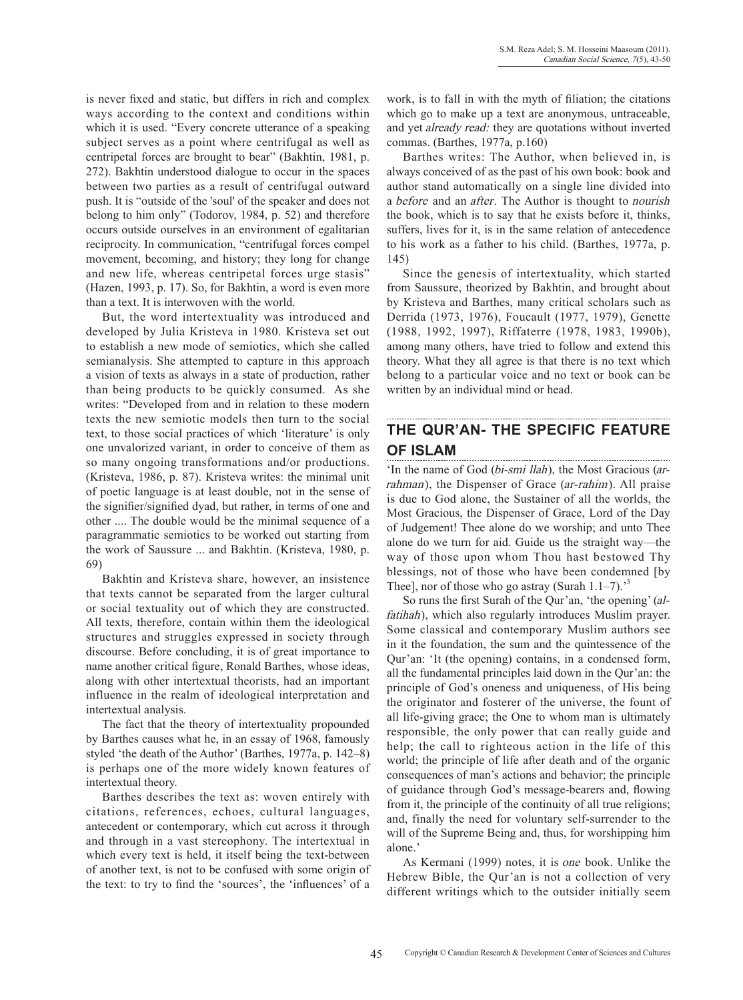is never fixed and static, but differs in rich and complex ways according to the context and conditions within which it is used. "Every concrete utterance of a speaking subject serves as a point where centrifugal as well as centripetal forces are brought to bear" (Bakhtin, 1981, p. 272). Bakhtin understood dialogue to occur in the spaces between two parties as a result of centrifugal outward push. It is "outside of the 'soul' of the speaker and does not belong to him only" (Todorov, 1984, p. 52) and therefore occurs outside ourselves in an environment of egalitarian reciprocity. In communication, "centrifugal forces compel movement, becoming, and history; they long for change and new life, whereas centripetal forces urge stasis" (Hazen, 1993, p. 17). So, for Bakhtin, a word is even more than a text. It is interwoven with the world.

But, the word intertextuality was introduced and developed by Julia Kristeva in 1980. Kristeva set out to establish a new mode of semiotics, which she called semianalysis. She attempted to capture in this approach a vision of texts as always in a state of production, rather than being products to be quickly consumed. As she writes: "Developed from and in relation to these modern texts the new semiotic models then turn to the social text, to those social practices of which 'literature' is only one unvalorized variant, in order to conceive of them as so many ongoing transformations and/or productions. (Kristeva, 1986, p. 87). Kristeva writes: the minimal unit of poetic language is at least double, not in the sense of the signifier/signified dyad, but rather, in terms of one and other .... The double would be the minimal sequence of a paragrammatic semiotics to be worked out starting from the work of Saussure ... and Bakhtin. (Kristeva, 1980, p. 69)

Bakhtin and Kristeva share, however, an insistence that texts cannot be separated from the larger cultural or social textuality out of which they are constructed. All texts, therefore, contain within them the ideological structures and struggles expressed in society through discourse. Before concluding, it is of great importance to name another critical figure, Ronald Barthes, whose ideas, along with other intertextual theorists, had an important influence in the realm of ideological interpretation and intertextual analysis.

The fact that the theory of intertextuality propounded by Barthes causes what he, in an essay of 1968, famously styled 'the death of the Author' (Barthes, 1977a, p. 142–8) is perhaps one of the more widely known features of intertextual theory.

Barthes describes the text as: woven entirely with citations, references, echoes, cultural languages, antecedent or contemporary, which cut across it through and through in a vast stereophony. The intertextual in which every text is held, it itself being the text-between of another text, is not to be confused with some origin of the text: to try to find the 'sources', the 'influences' of a work, is to fall in with the myth of filiation; the citations which go to make up a text are anonymous, untraceable, and yet already read: they are quotations without inverted commas. (Barthes, 1977a, p.160)

Barthes writes: The Author, when believed in, is always conceived of as the past of his own book: book and author stand automatically on a single line divided into a before and an after. The Author is thought to nourish the book, which is to say that he exists before it, thinks, suffers, lives for it, is in the same relation of antecedence to his work as a father to his child. (Barthes, 1977a, p. 145)

Since the genesis of intertextuality, which started from Saussure, theorized by Bakhtin, and brought about by Kristeva and Barthes, many critical scholars such as Derrida (1973, 1976), Foucault (1977, 1979), Genette (1988, 1992, 1997), Riffaterre (1978, 1983, 1990b), among many others, have tried to follow and extend this theory. What they all agree is that there is no text which belong to a particular voice and no text or book can be written by an individual mind or head.

# **THE QUR'AN- THE SPECIFIC FEATURE OF ISLAM**

'In the name of God (bi-smi llah), the Most Gracious (arrahman), the Dispenser of Grace (ar-rahim). All praise is due to God alone, the Sustainer of all the worlds, the Most Gracious, the Dispenser of Grace, Lord of the Day of Judgement! Thee alone do we worship; and unto Thee alone do we turn for aid. Guide us the straight way—the way of those upon whom Thou hast bestowed Thy blessings, not of those who have been condemned [by Thee], nor of those who go astray (Surah  $1.1-7$ ).<sup>33</sup>

So runs the first Surah of the Qur'an, 'the opening' (alfatihah), which also regularly introduces Muslim prayer. Some classical and contemporary Muslim authors see in it the foundation, the sum and the quintessence of the Qur'an: 'It (the opening) contains, in a condensed form, all the fundamental principles laid down in the Qur'an: the principle of God's oneness and uniqueness, of His being the originator and fosterer of the universe, the fount of all life-giving grace; the One to whom man is ultimately responsible, the only power that can really guide and help; the call to righteous action in the life of this world; the principle of life after death and of the organic consequences of man's actions and behavior; the principle of guidance through God's message-bearers and, flowing from it, the principle of the continuity of all true religions; and, finally the need for voluntary self-surrender to the will of the Supreme Being and, thus, for worshipping him alone.'

As Kermani (1999) notes, it is one book. Unlike the Hebrew Bible, the Qur'an is not a collection of very different writings which to the outsider initially seem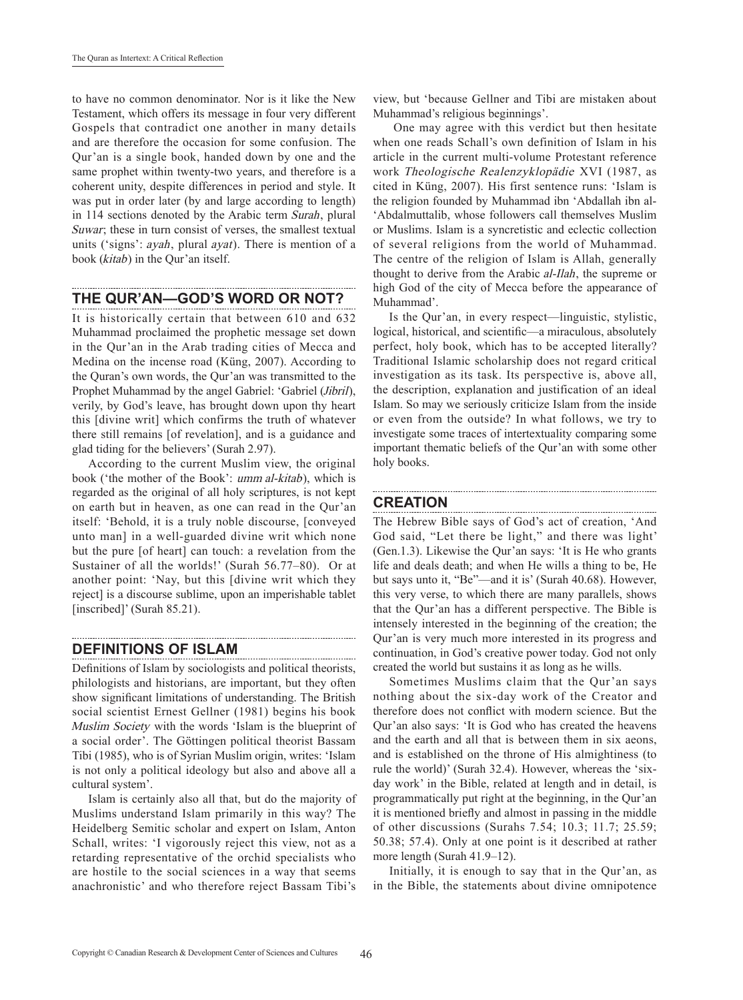to have no common denominator. Nor is it like the New Testament, which offers its message in four very different Gospels that contradict one another in many details and are therefore the occasion for some confusion. The Qur'an is a single book, handed down by one and the same prophet within twenty-two years, and therefore is a coherent unity, despite differences in period and style. It was put in order later (by and large according to length) in 114 sections denoted by the Arabic term Surah, plural Suwar; these in turn consist of verses, the smallest textual units ('signs': ayah, plural ayat). There is mention of a book (kitab) in the Qur'an itself.

#### **THE QUR'AN—GOD'S WORD OR NOT?**

It is historically certain that between 610 and 632 Muhammad proclaimed the prophetic message set down in the Qur'an in the Arab trading cities of Mecca and Medina on the incense road (Küng, 2007). According to the Quran's own words, the Qur'an was transmitted to the Prophet Muhammad by the angel Gabriel: 'Gabriel (Jibril), verily, by God's leave, has brought down upon thy heart this [divine writ] which confirms the truth of whatever there still remains [of revelation], and is a guidance and glad tiding for the believers' (Surah 2.97).

According to the current Muslim view, the original book ('the mother of the Book': umm al-kitab), which is regarded as the original of all holy scriptures, is not kept on earth but in heaven, as one can read in the Qur'an itself: 'Behold, it is a truly noble discourse, [conveyed unto man] in a well-guarded divine writ which none but the pure [of heart] can touch: a revelation from the Sustainer of all the worlds!' (Surah 56.77–80). Or at another point: 'Nay, but this [divine writ which they reject] is a discourse sublime, upon an imperishable tablet [inscribed]' (Surah 85.21).

## **DEFINITIONS OF ISLAM**

Definitions of Islam by sociologists and political theorists, philologists and historians, are important, but they often show significant limitations of understanding. The British social scientist Ernest Gellner (1981) begins his book Muslim Society with the words 'Islam is the blueprint of a social order'. The Göttingen political theorist Bassam Tibi (1985), who is of Syrian Muslim origin, writes: 'Islam is not only a political ideology but also and above all a cultural system'.

Islam is certainly also all that, but do the majority of Muslims understand Islam primarily in this way? The Heidelberg Semitic scholar and expert on Islam, Anton Schall, writes: 'I vigorously reject this view, not as a retarding representative of the orchid specialists who are hostile to the social sciences in a way that seems anachronistic' and who therefore reject Bassam Tibi's

view, but 'because Gellner and Tibi are mistaken about Muhammad's religious beginnings'.

 One may agree with this verdict but then hesitate when one reads Schall's own definition of Islam in his article in the current multi-volume Protestant reference work Theologische Realenzyklopädie XVI (1987, as cited in Küng, 2007). His first sentence runs: 'Islam is the religion founded by Muhammad ibn 'Abdallah ibn al- 'Abdalmuttalib, whose followers call themselves Muslim or Muslims. Islam is a syncretistic and eclectic collection of several religions from the world of Muhammad. The centre of the religion of Islam is Allah, generally thought to derive from the Arabic al-Ilah, the supreme or high God of the city of Mecca before the appearance of Muhammad'.

Is the Qur'an, in every respect—linguistic, stylistic, logical, historical, and scientific—a miraculous, absolutely perfect, holy book, which has to be accepted literally? Traditional Islamic scholarship does not regard critical investigation as its task. Its perspective is, above all, the description, explanation and justification of an ideal Islam. So may we seriously criticize Islam from the inside or even from the outside? In what follows, we try to investigate some traces of intertextuality comparing some important thematic beliefs of the Qur'an with some other holy books.

## **CREATION**

The Hebrew Bible says of God's act of creation, 'And God said, "Let there be light," and there was light' (Gen.1.3). Likewise the Qur'an says: 'It is He who grants life and deals death; and when He wills a thing to be, He but says unto it, "Be"—and it is' (Surah 40.68). However, this very verse, to which there are many parallels, shows that the Qur'an has a different perspective. The Bible is intensely interested in the beginning of the creation; the Qur'an is very much more interested in its progress and continuation, in God's creative power today. God not only created the world but sustains it as long as he wills.

Sometimes Muslims claim that the Qur'an says nothing about the six-day work of the Creator and therefore does not conflict with modern science. But the Qur'an also says: 'It is God who has created the heavens and the earth and all that is between them in six aeons, and is established on the throne of His almightiness (to rule the world)' (Surah 32.4). However, whereas the 'sixday work' in the Bible, related at length and in detail, is programmatically put right at the beginning, in the Qur'an it is mentioned briefly and almost in passing in the middle of other discussions (Surahs 7.54; 10.3; 11.7; 25.59; 50.38; 57.4). Only at one point is it described at rather more length (Surah 41.9–12).

Initially, it is enough to say that in the Qur'an, as in the Bible, the statements about divine omnipotence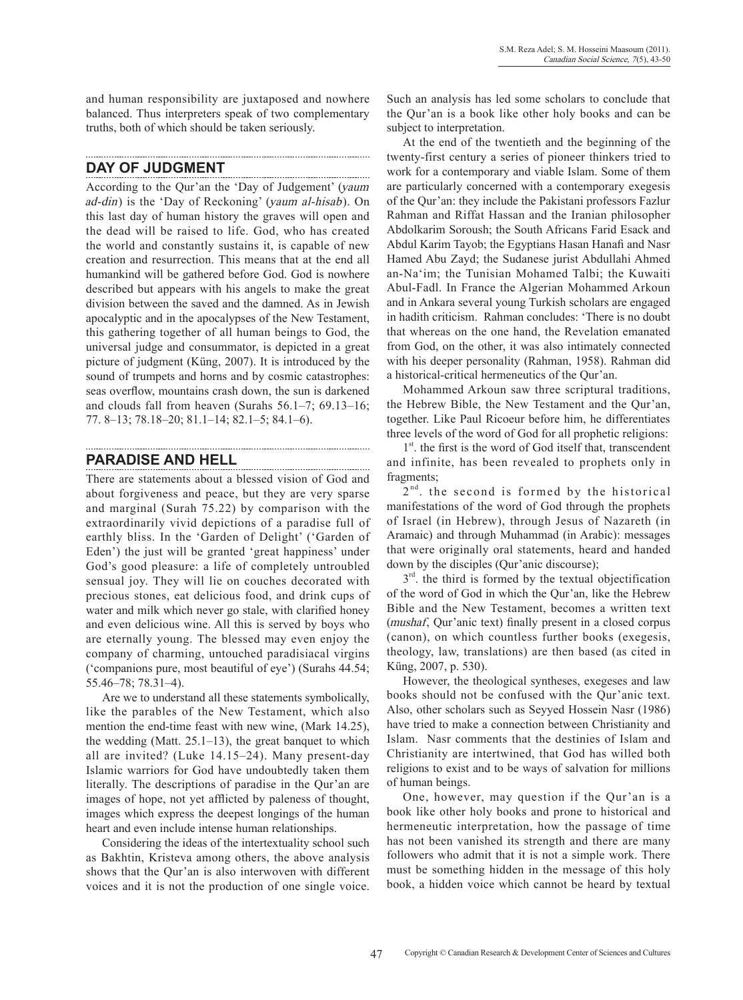and human responsibility are juxtaposed and nowhere balanced. Thus interpreters speak of two complementary truths, both of which should be taken seriously.

# **DAY OF JUDGMENT**

According to the Qur'an the 'Day of Judgement' (yaum ad-din) is the 'Day of Reckoning' (yaum al-hisab). On this last day of human history the graves will open and the dead will be raised to life. God, who has created the world and constantly sustains it, is capable of new creation and resurrection. This means that at the end all humankind will be gathered before God. God is nowhere described but appears with his angels to make the great division between the saved and the damned. As in Jewish apocalyptic and in the apocalypses of the New Testament, this gathering together of all human beings to God, the universal judge and consummator, is depicted in a great picture of judgment (Küng, 2007). It is introduced by the sound of trumpets and horns and by cosmic catastrophes: seas overflow, mountains crash down, the sun is darkened and clouds fall from heaven (Surahs 56.1–7; 69.13–16; 77. 8–13; 78.18–20; 81.1–14; 82.1–5; 84.1–6).

# **PARADISE AND HELL**

There are statements about a blessed vision of God and about forgiveness and peace, but they are very sparse and marginal (Surah 75.22) by comparison with the extraordinarily vivid depictions of a paradise full of earthly bliss. In the 'Garden of Delight' ('Garden of Eden') the just will be granted 'great happiness' under God's good pleasure: a life of completely untroubled sensual joy. They will lie on couches decorated with precious stones, eat delicious food, and drink cups of water and milk which never go stale, with clarified honey and even delicious wine. All this is served by boys who are eternally young. The blessed may even enjoy the company of charming, untouched paradisiacal virgins ('companions pure, most beautiful of eye') (Surahs 44.54; 55.46–78; 78.31–4).

Are we to understand all these statements symbolically, like the parables of the New Testament, which also mention the end-time feast with new wine, (Mark 14.25), the wedding (Matt. 25.1–13), the great banquet to which all are invited? (Luke 14.15–24). Many present-day Islamic warriors for God have undoubtedly taken them literally. The descriptions of paradise in the Qur'an are images of hope, not yet afflicted by paleness of thought, images which express the deepest longings of the human heart and even include intense human relationships.

Considering the ideas of the intertextuality school such as Bakhtin, Kristeva among others, the above analysis shows that the Qur'an is also interwoven with different voices and it is not the production of one single voice.

Such an analysis has led some scholars to conclude that the Qur'an is a book like other holy books and can be subject to interpretation.

At the end of the twentieth and the beginning of the twenty-first century a series of pioneer thinkers tried to work for a contemporary and viable Islam. Some of them are particularly concerned with a contemporary exegesis of the Qur'an: they include the Pakistani professors Fazlur Rahman and Riffat Hassan and the Iranian philosopher Abdolkarim Soroush; the South Africans Farid Esack and Abdul Karim Tayob; the Egyptians Hasan Hanafi and Nasr Hamed Abu Zayd; the Sudanese jurist Abdullahi Ahmed an-Na'im; the Tunisian Mohamed Talbi; the Kuwaiti Abul-Fadl. In France the Algerian Mohammed Arkoun and in Ankara several young Turkish scholars are engaged in hadith criticism. Rahman concludes: 'There is no doubt that whereas on the one hand, the Revelation emanated from God, on the other, it was also intimately connected with his deeper personality (Rahman, 1958). Rahman did a historical-critical hermeneutics of the Qur'an.

Mohammed Arkoun saw three scriptural traditions, the Hebrew Bible, the New Testament and the Qur'an, together. Like Paul Ricoeur before him, he differentiates three levels of the word of God for all prophetic religions:

1<sup>st</sup>, the first is the word of God itself that, transcendent and infinite, has been revealed to prophets only in fragments;

 $2^{nd}$ . the second is formed by the historical manifestations of the word of God through the prophets of Israel (in Hebrew), through Jesus of Nazareth (in Aramaic) and through Muhammad (in Arabic): messages that were originally oral statements, heard and handed down by the disciples (Qur'anic discourse);

 $3<sup>rd</sup>$ . the third is formed by the textual objectification of the word of God in which the Qur'an, like the Hebrew Bible and the New Testament, becomes a written text (mushaf, Qur'anic text) finally present in a closed corpus (canon), on which countless further books (exegesis, theology, law, translations) are then based (as cited in Küng, 2007, p. 530).

However, the theological syntheses, exegeses and law books should not be confused with the Qur'anic text. Also, other scholars such as Seyyed Hossein Nasr (1986) have tried to make a connection between Christianity and Islam. Nasr comments that the destinies of Islam and Christianity are intertwined, that God has willed both religions to exist and to be ways of salvation for millions of human beings.

One, however, may question if the Qur'an is a book like other holy books and prone to historical and hermeneutic interpretation, how the passage of time has not been vanished its strength and there are many followers who admit that it is not a simple work. There must be something hidden in the message of this holy book, a hidden voice which cannot be heard by textual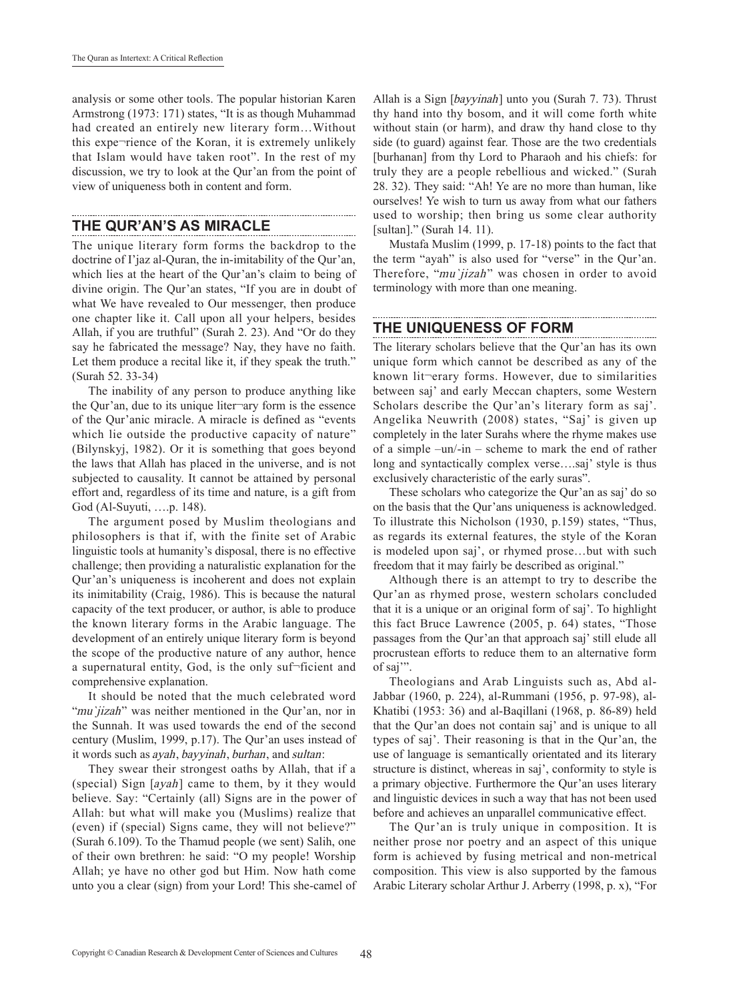analysis or some other tools. The popular historian Karen Armstrong (1973: 171) states, "It is as though Muhammad had created an entirely new literary form…Without this expe¬rience of the Koran, it is extremely unlikely that Islam would have taken root". In the rest of my discussion, we try to look at the Qur'an from the point of view of uniqueness both in content and form.

#### **THE QUR'AN'S AS MIRACLE**

The unique literary form forms the backdrop to the doctrine of I'jaz al-Quran, the in-imitability of the Qur'an, which lies at the heart of the Qur'an's claim to being of divine origin. The Qur'an states, "If you are in doubt of what We have revealed to Our messenger, then produce one chapter like it. Call upon all your helpers, besides Allah, if you are truthful" (Surah 2. 23). And "Or do they say he fabricated the message? Nay, they have no faith. Let them produce a recital like it, if they speak the truth." (Surah 52. 33-34)

The inability of any person to produce anything like the Qur'an, due to its unique liter¬ary form is the essence of the Qur'anic miracle. A miracle is defined as "events which lie outside the productive capacity of nature" (Bilynskyj, 1982). Or it is something that goes beyond the laws that Allah has placed in the universe, and is not subjected to causality. It cannot be attained by personal effort and, regardless of its time and nature, is a gift from God (Al-Suyuti, ….p. 148).

The argument posed by Muslim theologians and philosophers is that if, with the finite set of Arabic linguistic tools at humanity's disposal, there is no effective challenge; then providing a naturalistic explanation for the Qur'an's uniqueness is incoherent and does not explain its inimitability (Craig, 1986). This is because the natural capacity of the text producer, or author, is able to produce the known literary forms in the Arabic language. The development of an entirely unique literary form is beyond the scope of the productive nature of any author, hence a supernatural entity, God, is the only suf¬ficient and comprehensive explanation.

It should be noted that the much celebrated word "mu`jizah" was neither mentioned in the Qur'an, nor in the Sunnah. It was used towards the end of the second century (Muslim, 1999, p.17). The Qur'an uses instead of it words such as ayah, bayyinah, burhan, and sultan:

They swear their strongest oaths by Allah, that if a (special) Sign [ayah] came to them, by it they would believe. Say: "Certainly (all) Signs are in the power of Allah: but what will make you (Muslims) realize that (even) if (special) Signs came, they will not believe?" (Surah 6.109). To the Thamud people (we sent) Salih, one of their own brethren: he said: "O my people! Worship Allah; ye have no other god but Him. Now hath come unto you a clear (sign) from your Lord! This she-camel of Allah is a Sign [bayyinah] unto you (Surah 7. 73). Thrust thy hand into thy bosom, and it will come forth white without stain (or harm), and draw thy hand close to thy side (to guard) against fear. Those are the two credentials [burhanan] from thy Lord to Pharaoh and his chiefs: for truly they are a people rebellious and wicked." (Surah 28. 32). They said: "Ah! Ye are no more than human, like ourselves! Ye wish to turn us away from what our fathers used to worship; then bring us some clear authority [sultan]." (Surah 14. 11).

Mustafa Muslim (1999, p. 17-18) points to the fact that the term "ayah" is also used for "verse" in the Qur'an. Therefore, "mu`jizah" was chosen in order to avoid terminology with more than one meaning.

### **THE UNIQUENESS OF FORM**

The literary scholars believe that the Qur'an has its own unique form which cannot be described as any of the known lit¬erary forms. However, due to similarities between saj' and early Meccan chapters, some Western Scholars describe the Qur'an's literary form as saj'. Angelika Neuwrith (2008) states, "Saj' is given up completely in the later Surahs where the rhyme makes use of a simple –un/-in – scheme to mark the end of rather long and syntactically complex verse….saj' style is thus exclusively characteristic of the early suras".

These scholars who categorize the Qur'an as saj' do so on the basis that the Qur'ans uniqueness is acknowledged. To illustrate this Nicholson (1930, p.159) states, "Thus, as regards its external features, the style of the Koran is modeled upon saj', or rhymed prose…but with such freedom that it may fairly be described as original."

Although there is an attempt to try to describe the Qur'an as rhymed prose, western scholars concluded that it is a unique or an original form of saj'. To highlight this fact Bruce Lawrence (2005, p. 64) states, "Those passages from the Qur'an that approach saj' still elude all procrustean efforts to reduce them to an alternative form of saj'".

Theologians and Arab Linguists such as, Abd al-Jabbar (1960, p. 224), al-Rummani (1956, p. 97-98), al-Khatibi (1953: 36) and al-Baqillani (1968, p. 86-89) held that the Qur'an does not contain saj' and is unique to all types of saj'. Their reasoning is that in the Qur'an, the use of language is semantically orientated and its literary structure is distinct, whereas in saj', conformity to style is a primary objective. Furthermore the Qur'an uses literary and linguistic devices in such a way that has not been used before and achieves an unparallel communicative effect.

The Qur'an is truly unique in composition. It is neither prose nor poetry and an aspect of this unique form is achieved by fusing metrical and non-metrical composition. This view is also supported by the famous Arabic Literary scholar Arthur J. Arberry (1998, p. x), "For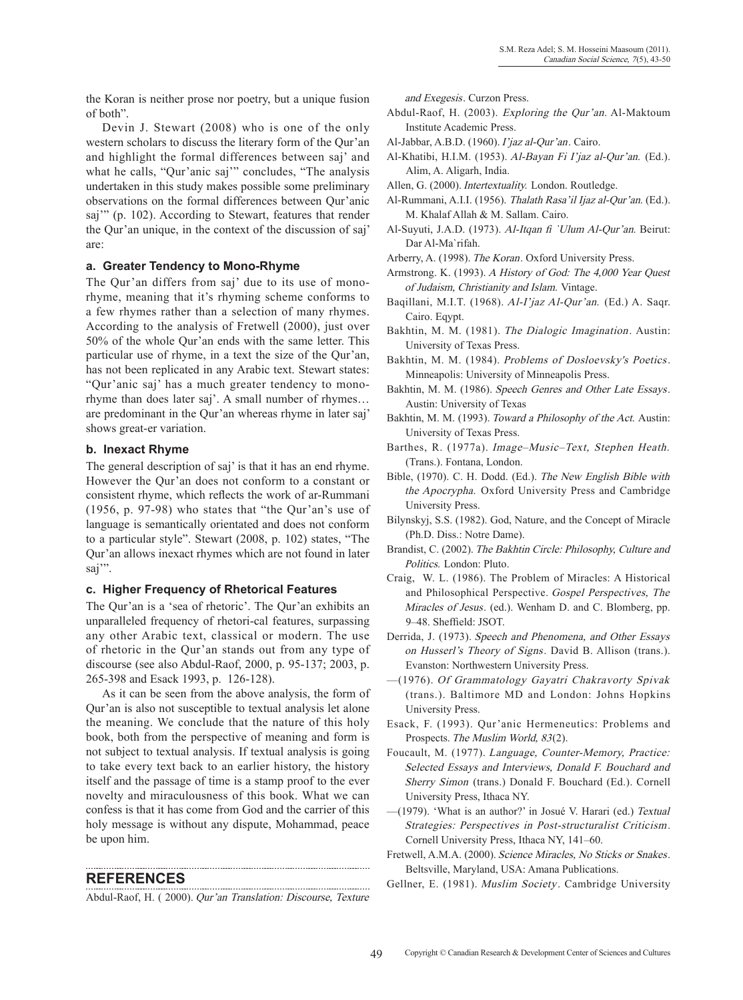the Koran is neither prose nor poetry, but a unique fusion of both".

Devin J. Stewart (2008) who is one of the only western scholars to discuss the literary form of the Qur'an and highlight the formal differences between saj' and what he calls, "Qur'anic saj'" concludes, "The analysis undertaken in this study makes possible some preliminary observations on the formal differences between Qur'anic saj'" (p. 102). According to Stewart, features that render the Qur'an unique, in the context of the discussion of saj' are:

#### **a. Greater Tendency to Mono-Rhyme**

The Qur'an differs from saj' due to its use of monorhyme, meaning that it's rhyming scheme conforms to a few rhymes rather than a selection of many rhymes. According to the analysis of Fretwell (2000), just over 50% of the whole Qur'an ends with the same letter. This particular use of rhyme, in a text the size of the Qur'an, has not been replicated in any Arabic text. Stewart states: "Qur'anic saj' has a much greater tendency to monorhyme than does later saj'. A small number of rhymes… are predominant in the Qur'an whereas rhyme in later saj' shows great-er variation.

#### **b.** Inexact Rhyme

The general description of saj' is that it has an end rhyme. However the Qur'an does not conform to a constant or consistent rhyme, which reflects the work of ar-Rummani (1956, p. 97-98) who states that "the Qur'an's use of language is semantically orientated and does not conform to a particular style". Stewart (2008, p. 102) states, "The Qur'an allows inexact rhymes which are not found in later saj'".

#### **c. Higher Frequency of Rhetorical Features**

The Qur'an is a 'sea of rhetoric'. The Qur'an exhibits an unparalleled frequency of rhetori-cal features, surpassing any other Arabic text, classical or modern. The use of rhetoric in the Qur'an stands out from any type of discourse (see also Abdul-Raof, 2000, p. 95-137; 2003, p. 265-398 and Esack 1993, p. 126-128).

As it can be seen from the above analysis, the form of Qur'an is also not susceptible to textual analysis let alone the meaning. We conclude that the nature of this holy book, both from the perspective of meaning and form is not subject to textual analysis. If textual analysis is going to take every text back to an earlier history, the history itself and the passage of time is a stamp proof to the ever novelty and miraculousness of this book. What we can confess is that it has come from God and the carrier of this holy message is without any dispute, Mohammad, peace be upon him.

#### **REFERENCES**

Abdul-Raof, H. ( 2000). Qur'an Translation: Discourse, Texture

and Exegesis. Curzon Press.

- Abdul-Raof, H. (2003). Exploring the Qur'an. Al-Maktoum Institute Academic Press.
- Al-Jabbar, A.B.D. (1960). I'jaz al-Qur'an. Cairo.
- Al-Khatibi, H.I.M. (1953). Al-Bayan Fi I'jaz al-Qur'an. (Ed.). Alim, A. Aligarh, India.
- Allen, G. (2000). Intertextuality. London. Routledge.
- Al-Rummani, A.I.I. (1956). Thalath Rasa'il Ijaz al-Qur'an. (Ed.). M. Khalaf Allah & M. Sallam. Cairo.
- Al-Suyuti, J.A.D. (1973). Al-Itqan fi `Ulum Al-Qur'an. Beirut: Dar Al-Ma`rifah.
- Arberry, A. (1998). The Koran. Oxford University Press.
- Armstrong. K. (1993). A History of God: The 4,000 Year Quest of Judaism, Christianity and Islam. Vintage.
- Baqillani, M.I.T. (1968). Al-I'jaz Al-Qur'an. (Ed.) A. Saqr. Cairo. Eqypt.
- Bakhtin, M. M. (1981). The Dialogic Imagination. Austin: University of Texas Press.
- Bakhtin, M. M. (1984). Problems of Dosloevsky's Poetics. Minneapolis: University of Minneapolis Press.
- Bakhtin, M. M. (1986). Speech Genres and Other Late Essays. Austin: University of Texas
- Bakhtin, M. M. (1993). Toward a Philosophy of the Act. Austin: University of Texas Press.
- Barthes, R. (1977a). Image–Music–Text, Stephen Heath. (Trans.). Fontana, London.
- Bible, (1970). C. H. Dodd. (Ed.). The New English Bible with the Apocrypha. Oxford University Press and Cambridge University Press.
- Bilynskyj, S.S. (1982). God, Nature, and the Concept of Miracle (Ph.D. Diss.: Notre Dame).
- Brandist, C. (2002). The Bakhtin Circle: Philosophy, Culture and politics. London: Pluto.
- Craig, W. L. (1986). The Problem of Miracles: A Historical and Philosophical Perspective. Gospel Perspectives, The Miracles of Jesus. (ed.). Wenham D. and C. Blomberg, pp. 9–48. Sheffield: JSOT.
- Derrida, J. (1973). Speech and Phenomena, and Other Essays on Husserl's Theory of Signs. David B. Allison (trans.). Evanston: Northwestern University Press.
- —(1976). Of Grammatology Gayatri Chakravorty Spivak (trans.). Baltimore MD and London: Johns Hopkins University Press.
- Esack, F. (1993). Qur'anic Hermeneutics: Problems and Prospects. The Muslim World, 83(2).
- Foucault, M. (1977). Language, Counter-Memory, Practice: Selected Essays and Interviews, Donald F. Bouchard and Sherry Simon (trans.) Donald F. Bouchard (Ed.). Cornell University Press, Ithaca NY.
- —(1979). 'What is an author?' in Josué V. Harari (ed.) Textual Strategies: Perspectives in Post-structuralist Criticism. Cornell University Press, Ithaca NY, 141–60.
- Fretwell, A.M.A. (2000). Science Miracles, No Sticks or Snakes. Beltsville, Maryland, USA: Amana Publications.
- Gellner, E. (1981). Muslim Society. Cambridge University